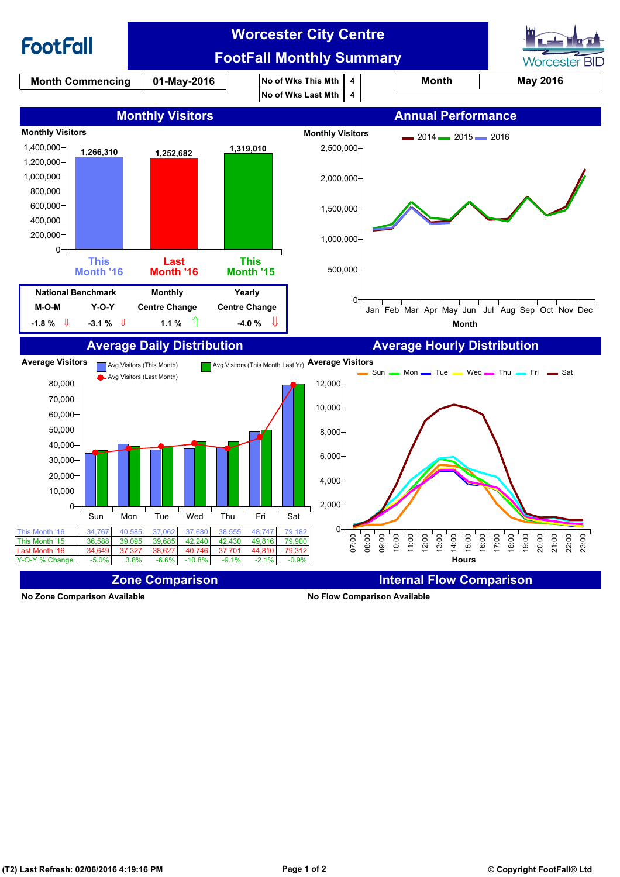

**No Zone Comparison Available No Flow Comparison Available**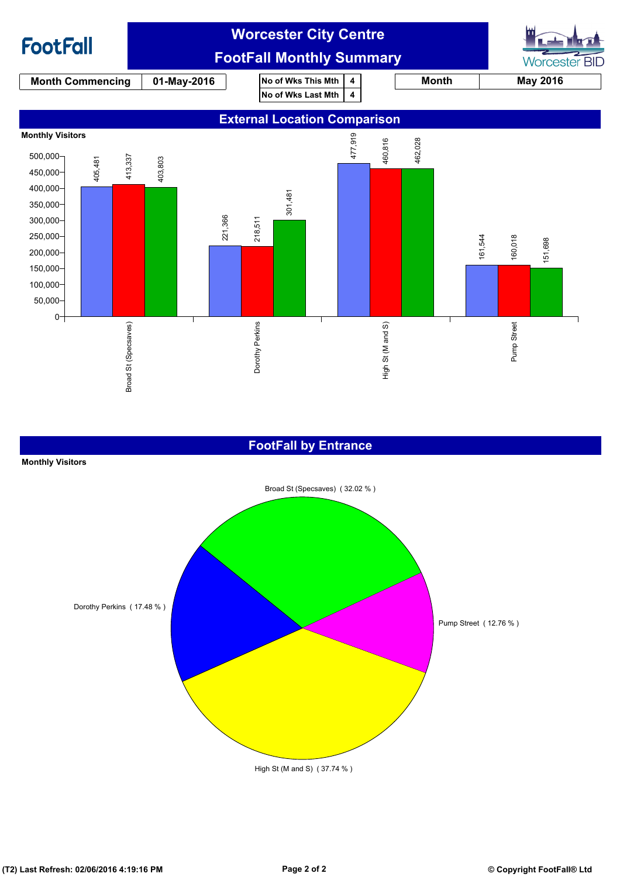

### **FootFall by Entrance**

#### **Monthly Visitors**